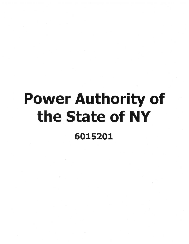## Power Authority of the State of NY 6015201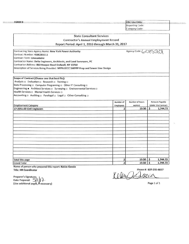| <b>FORM B</b>                                                                      |           | <b>OSC Use Only:</b>                     |                           |  |  |
|------------------------------------------------------------------------------------|-----------|------------------------------------------|---------------------------|--|--|
|                                                                                    |           | <b>Reporting Code:</b><br>Category Code: |                           |  |  |
|                                                                                    |           |                                          |                           |  |  |
|                                                                                    |           |                                          |                           |  |  |
| <b>State Consultant Services</b>                                                   |           |                                          |                           |  |  |
| <b>Contractor's Annual Employment Record</b>                                       |           |                                          |                           |  |  |
| Report Period: April 1, 2016 through March 31, 2017                                |           |                                          |                           |  |  |
| Contracting State Agency Name: New York Power Authority                            |           | Agency Code: 601520                      |                           |  |  |
| Contract Number: 4500283211                                                        |           |                                          |                           |  |  |
| <b>Contract Term: Unavailable</b>                                                  |           |                                          |                           |  |  |
| Contractor Name: Delta Engineers, Architects, and Land Surveyors, PC               |           |                                          |                           |  |  |
| Contractor Address: 860 Hooper Road Endwell, NY 13760                              |           |                                          |                           |  |  |
| Description of Services Being Provided: NYPA EECC SWPPP Prep and Sewer Line Design |           |                                          |                           |  |  |
|                                                                                    |           |                                          |                           |  |  |
| Scope of Contract (Choose one that best fits):                                     |           |                                          |                           |  |  |
| Analysis a Evaluation a Research a Training a                                      |           |                                          |                           |  |  |
| Data Processing a Computer Programing a Other IT Consulting a                      |           |                                          |                           |  |  |
| Engineering # Architect Services a Surveying a Environmental Services a            |           |                                          |                           |  |  |
| Health Services D Mental Health Services D                                         |           |                                          |                           |  |  |
| Accounting D Auditing D Paralegal D Legal D Other Consulting D                     |           |                                          |                           |  |  |
|                                                                                    |           |                                          |                           |  |  |
|                                                                                    | Number of | Number of hours                          | <b>Amount Payable</b>     |  |  |
| <b>Employment Category</b>                                                         | Employees |                                          |                           |  |  |
| 17-2051.00 Civil Engineers                                                         |           | worked                                   | <b>Under the Contract</b> |  |  |
|                                                                                    | 2         | 19.50                                    | \$<br>1,744.73            |  |  |
|                                                                                    |           |                                          |                           |  |  |
|                                                                                    |           |                                          |                           |  |  |
|                                                                                    |           |                                          |                           |  |  |
|                                                                                    |           |                                          |                           |  |  |
|                                                                                    |           |                                          |                           |  |  |
|                                                                                    |           |                                          |                           |  |  |
|                                                                                    |           |                                          |                           |  |  |
|                                                                                    |           |                                          |                           |  |  |
|                                                                                    |           |                                          |                           |  |  |
|                                                                                    |           |                                          |                           |  |  |
|                                                                                    |           |                                          |                           |  |  |
|                                                                                    |           |                                          |                           |  |  |
|                                                                                    |           |                                          |                           |  |  |
| Total this page<br><b>Grand Total</b>                                              | 2<br>2    | $19.50$ \$<br>$19.50$ \$                 | 1,744.73<br>1,744.73      |  |  |

Name of person who prepared this report: Kelcie Guccia Title: HR Coordinator

Phone #: 607-231-6657

 $KelenOAoei$ 

Preparer's Signature<sub>i</sub><br>Date Prepared:  $\lesssim$  **1** <del>1</del> (Use additional pages, if necessary

 $-$ 

Page 1 of 1